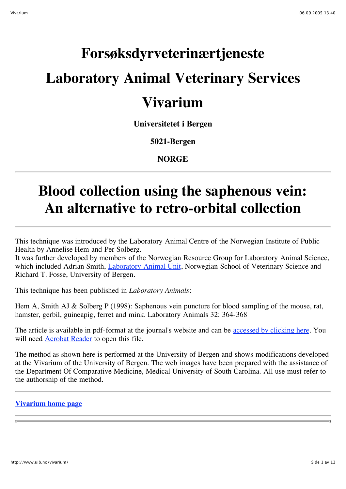# **Forsøksdyrveterinærtjeneste Laboratory Animal Veterinary Services Vivarium**

### **Universitetet i Bergen**

**5021-Bergen**

**NORGE**

# **Blood collection using the saphenous vein: An alternative to retro-orbital collection**

This technique was introduced by the Laboratory Animal Centre of the Norwegian Institute of Public Health by Annelise Hem and Per Solberg.

It was further developed by members of the Norwegian Resource Group for Laboratory Animal Science, which included Adrian Smith, Laboratory Animal Unit, Norwegian School of Veterinary Science and Richard T. Fosse, University of Bergen.

This technique has been published in *Laboratory Animals*:

Hem A, Smith AJ & Solberg P (1998): Saphenous vein puncture for blood sampling of the mouse, rat, hamster, gerbil, guineapig, ferret and mink. Laboratory Animals 32: 364-368

The article is available in pdf-format at the journal's website and can be accessed by clicking here. You will need Acrobat Reader to open this file.

The method as shown here is performed at the University of Bergen and shows modifications developed at the Vivarium of the University of Bergen. The web images have been prepared with the assistance of the Department Of Comparative Medicine, Medical University of South Carolina. All use must refer to the authorship of the method.

### **Vivarium home page**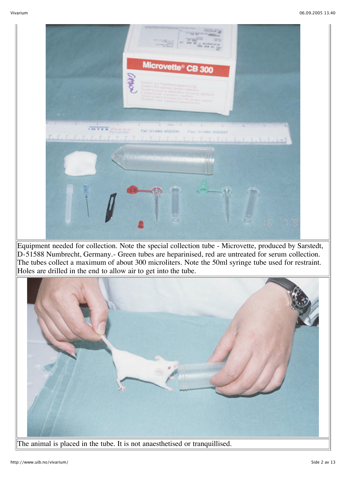

Equipment needed for collection. Note the special collection tube - Microvette, produced by Sarstedt, D-51588 Numbrecht, Germany.- Green tubes are heparinised, red are untreated for serum collection. The tubes collect a maximum of about 300 microliters. Note the 50ml syringe tube used for restraint. Holes are drilled in the end to allow air to get into the tube.



The animal is placed in the tube. It is not anaesthetised or tranquillised.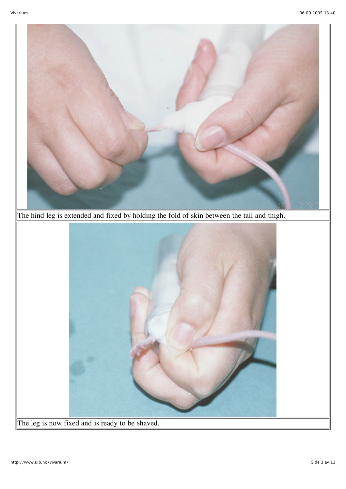

The leg is now fixed and is ready to be shaved.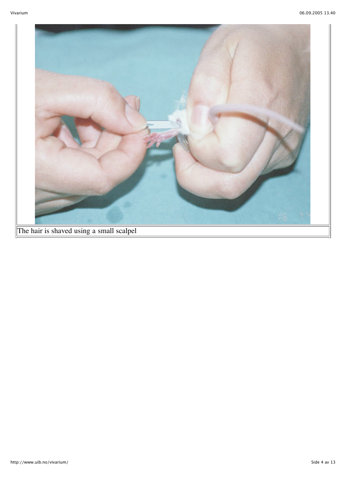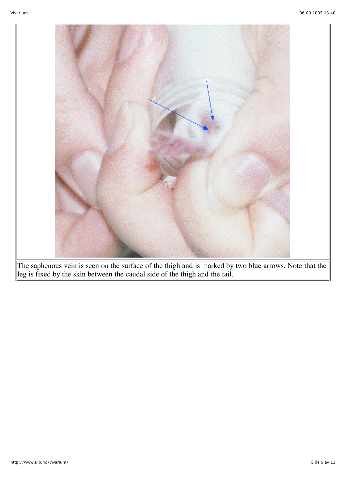

The saphenous vein is seen on the surface of the thigh and is marked by two blue arrows. Note that the leg is fixed by the skin between the caudal side of the thigh and the tail.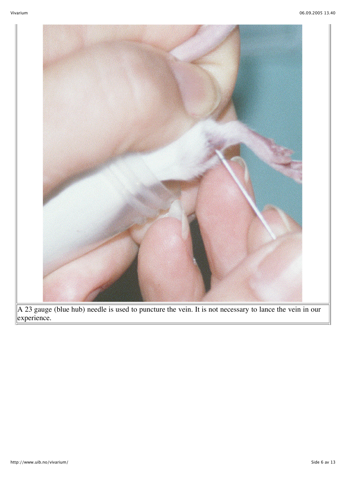

A 23 gauge (blue hub) needle is used to puncture the vein. It is not necessary to lance the vein in our experience.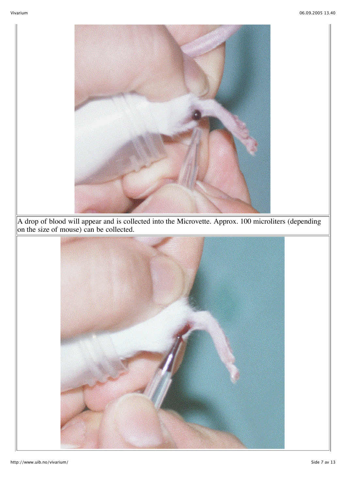

A drop of blood will appear and is collected into the Microvette. Approx. 100 microliters (depending on the size of mouse) can be collected.

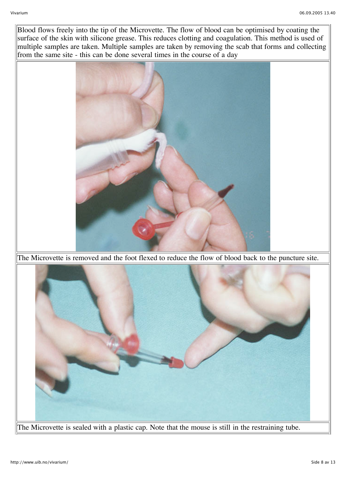Blood flows freely into the tip of the Microvette. The flow of blood can be optimised by coating the surface of the skin with silicone grease. This reduces clotting and coagulation. This method is used of multiple samples are taken. Multiple samples are taken by removing the scab that forms and collecting from the same site - this can be done several times in the course of a day



The Microvette is removed and the foot flexed to reduce the flow of blood back to the puncture site.

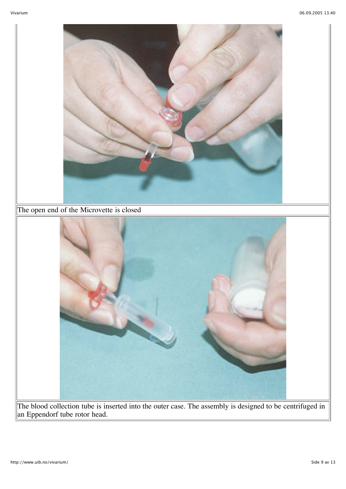

The blood collection tube is inserted into the outer case. The assembly is designed to be centrifuged in an Eppendorf tube rotor head.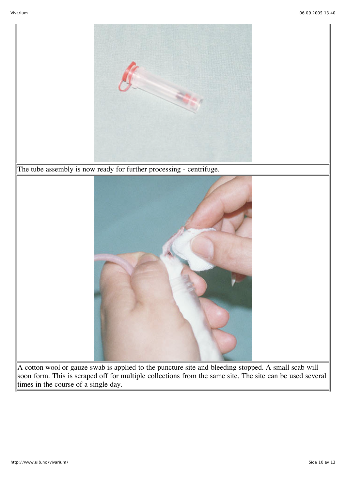

soon form. This is scraped off for multiple collections from the same site. The site can be used several times in the course of a single day.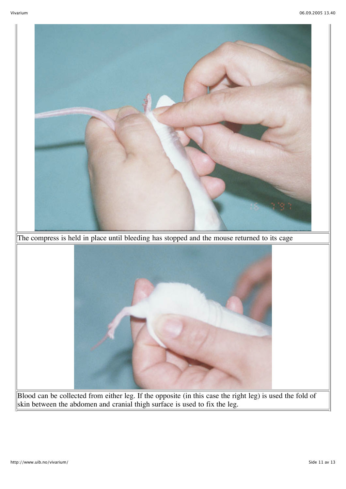